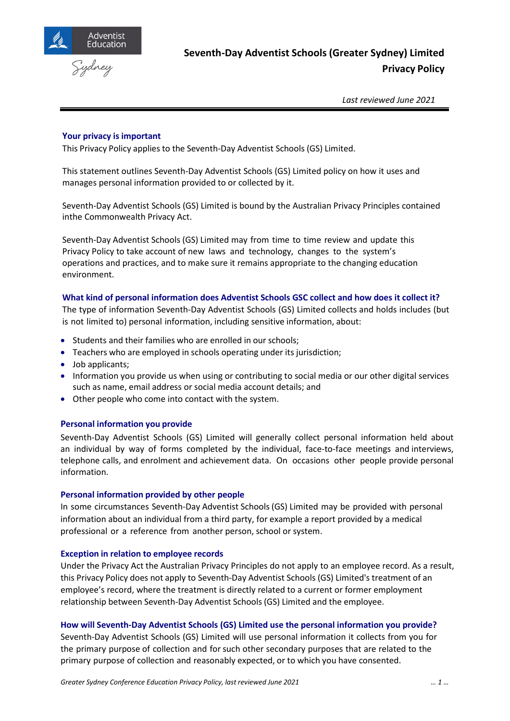



*Last reviewed June 2021*

### **Your privacy is important**

This Privacy Policy applies to the Seventh-Day Adventist Schools (GS) Limited.

This statement outlines Seventh-Day Adventist Schools (GS) Limited policy on how it uses and manages personal information provided to or collected by it.

Seventh-Day Adventist Schools (GS) Limited is bound by the Australian Privacy Principles contained inthe Commonwealth Privacy Act.

Seventh-Day Adventist Schools (GS) Limited may from time to time review and update this Privacy Policy to take account of new laws and technology, changes to the system's operations and practices, and to make sure it remains appropriate to the changing education environment.

### **What kind of personal information does Adventist Schools GSC collect and how does it collect it?**

The type of information Seventh-Day Adventist Schools (GS) Limited collects and holds includes (but is not limited to) personal information, including sensitive information, about:

- Students and their families who are enrolled in our schools;
- Teachers who are employed in schools operating under its jurisdiction;
- Job applicants;
- Information you provide us when using or contributing to social media or our other digital services such as name, email address or social media account details; and
- Other people who come into contact with the system.

### **Personal information you provide**

Seventh-Day Adventist Schools (GS) Limited will generally collect personal information held about an individual by way of forms completed by the individual, face-to-face meetings and interviews, telephone calls, and enrolment and achievement data. On occasions other people provide personal information.

#### **Personal information provided by other people**

In some circumstances Seventh-Day Adventist Schools (GS) Limited may be provided with personal information about an individual from a third party, for example a report provided by a medical professional or a reference from another person, school or system.

#### **Exception in relation to employee records**

Under the Privacy Act the Australian Privacy Principles do not apply to an employee record. As a result, this Privacy Policy does not apply to Seventh-Day Adventist Schools (GS) Limited's treatment of an employee's record, where the treatment is directly related to a current or former employment relationship between Seventh-Day Adventist Schools (GS) Limited and the employee.

### **How will Seventh-Day Adventist Schools (GS) Limited use the personal information you provide?**

Seventh-Day Adventist Schools (GS) Limited will use personal information it collects from you for the primary purpose of collection and forsuch other secondary purposes that are related to the primary purpose of collection and reasonably expected, or to which you have consented.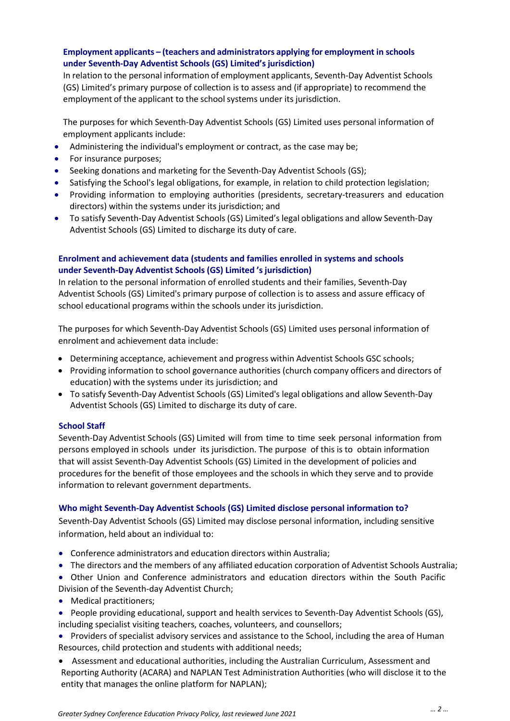## **Employment applicants – (teachers and administrators applying for employment in schools under Seventh-Day Adventist Schools (GS) Limited's jurisdiction)**

In relation to the personal information of employment applicants, Seventh-Day Adventist Schools (GS) Limited's primary purpose of collection is to assess and (if appropriate) to recommend the employment of the applicant to the school systems under its jurisdiction.

The purposes for which Seventh-Day Adventist Schools (GS) Limited uses personal information of employment applicants include:

- Administering the individual's employment or contract, as the case may be;
- For insurance purposes;
- Seeking donations and marketing for the Seventh-Day Adventist Schools (GS);
- Satisfying the School's legal obligations, for example, in relation to child protection legislation;
- Providing information to employing authorities (presidents, secretary-treasurers and education directors) within the systems under its jurisdiction; and
- To satisfy Seventh-Day Adventist Schools (GS) Limited's legal obligations and allow Seventh-Day Adventist Schools (GS) Limited to discharge its duty of care.

## **Enrolment and achievement data (students and families enrolled in systems and schools under Seventh-Day Adventist Schools (GS) Limited 's jurisdiction)**

In relation to the personal information of enrolled students and their families, Seventh-Day Adventist Schools (GS) Limited's primary purpose of collection is to assess and assure efficacy of school educational programs within the schools under its jurisdiction.

The purposes for which Seventh-Day Adventist Schools (GS) Limited uses personal information of enrolment and achievement data include:

- Determining acceptance, achievement and progress within Adventist Schools GSC schools;
- Providing information to school governance authorities (church company officers and directors of education) with the systems under its jurisdiction; and
- To satisfy Seventh-Day Adventist Schools (GS) Limited's legal obligations and allow Seventh-Day Adventist Schools (GS) Limited to discharge its duty of care.

### **School Staff**

Seventh-Day Adventist Schools (GS) Limited will from time to time seek personal information from persons employed in schools under its jurisdiction. The purpose of this is to obtain information that will assist Seventh-Day Adventist Schools (GS) Limited in the development of policies and procedures for the benefit of those employees and the schools in which they serve and to provide information to relevant government departments.

### **Who might Seventh-Day Adventist Schools (GS) Limited disclose personal information to?**

Seventh-Day Adventist Schools (GS) Limited may disclose personal information, including sensitive information, held about an individual to:

- Conference administrators and education directors within Australia;
- The directors and the members of any affiliated education corporation of Adventist Schools Australia;
- Other Union and Conference administrators and education directors within the South Pacific Division of the Seventh-day Adventist Church;
- Medical practitioners;
- People providing educational, support and health services to Seventh-Day Adventist Schools (GS), including specialist visiting teachers, coaches, volunteers, and counsellors;
- Providers of specialist advisory services and assistance to the School, including the area of Human Resources, child protection and students with additional needs;
- Assessment and educational authorities, including the Australian Curriculum, Assessment and Reporting Authority (ACARA) and NAPLAN Test Administration Authorities (who will disclose it to the entity that manages the online platform for NAPLAN);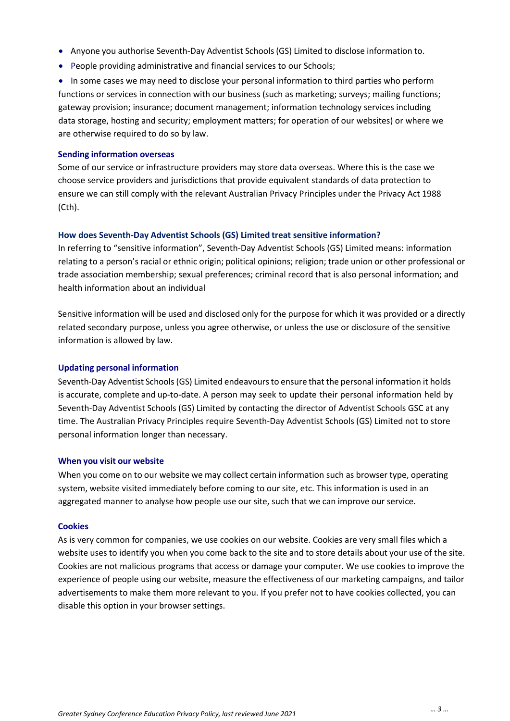- Anyone you authorise Seventh-Day Adventist Schools (GS) Limited to disclose information to.
- People providing administrative and financial services to our Schools;

• In some cases we may need to disclose your personal information to third parties who perform functions or services in connection with our business (such as marketing; surveys; mailing functions; gateway provision; insurance; document management; information technology services including data storage, hosting and security; employment matters; for operation of our websites) or where we are otherwise required to do so by law.

#### **Sending information overseas**

Some of our service or infrastructure providers may store data overseas. Where this is the case we choose service providers and jurisdictions that provide equivalent standards of data protection to ensure we can still comply with the relevant Australian Privacy Principles under the Privacy Act 1988 (Cth).

### **How does Seventh-Day Adventist Schools (GS) Limited treat sensitive information?**

In referring to "sensitive information", Seventh-Day Adventist Schools (GS) Limited means: information relating to a person's racial or ethnic origin; political opinions; religion; trade union or other professional or trade association membership; sexual preferences; criminal record that is also personal information; and health information about an individual

Sensitive information will be used and disclosed only for the purpose for which it was provided or a directly related secondary purpose, unless you agree otherwise, or unless the use or disclosure of the sensitive information is allowed by law.

### **Updating personal information**

Seventh-Day Adventist Schools (GS) Limited endeavoursto ensure that the personal information it holds is accurate, complete and up-to-date. A person may seek to update their personal information held by Seventh-Day Adventist Schools (GS) Limited by contacting the director of Adventist Schools GSC at any time. The Australian Privacy Principles require Seventh-Day Adventist Schools (GS) Limited not to store personal information longer than necessary.

### **When you visit our website**

When you come on to our website we may collect certain information such as browser type, operating system, website visited immediately before coming to our site, etc. This information is used in an aggregated manner to analyse how people use our site, such that we can improve our service.

#### **Cookies**

As is very common for companies, we use cookies on our website. Cookies are very small files which a website uses to identify you when you come back to the site and to store details about your use of the site. Cookies are not malicious programs that access or damage your computer. We use cookies to improve the experience of people using our website, measure the effectiveness of our marketing campaigns, and tailor advertisements to make them more relevant to you. If you prefer not to have cookies collected, you can disable this option in your browser settings.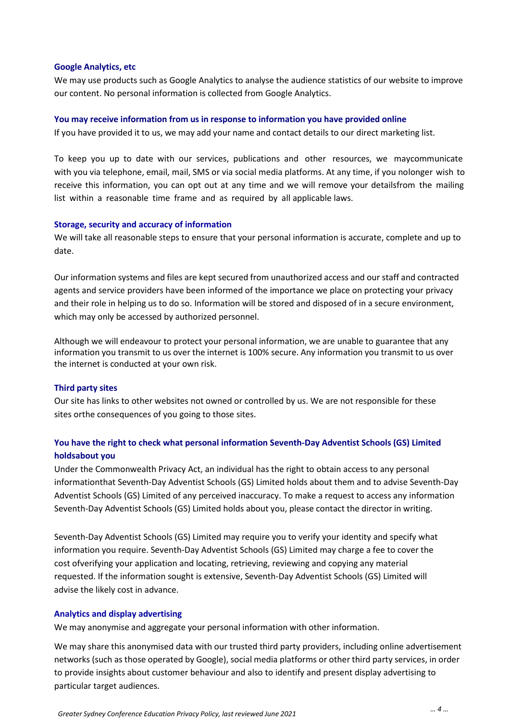#### **Google Analytics, etc**

We may use products such as Google Analytics to analyse the audience statistics of our website to improve our content. No personal information is collected from Google Analytics.

#### **You may receive information from us in response to information you have provided online**

If you have provided it to us, we may add your name and contact details to our direct marketing list.

To keep you up to date with our services, publications and other resources, we maycommunicate with you via telephone, email, mail, SMS or via social media platforms. At any time, if you nolonger wish to receive this information, you can opt out at any time and we will remove your detailsfrom the mailing list within a reasonable time frame and as required by all applicable laws.

#### **Storage, security and accuracy of information**

We will take all reasonable steps to ensure that your personal information is accurate, complete and up to date.

Our information systems and files are kept secured from unauthorized access and our staff and contracted agents and service providers have been informed of the importance we place on protecting your privacy and their role in helping us to do so. Information will be stored and disposed of in a secure environment, which may only be accessed by authorized personnel.

Although we will endeavour to protect your personal information, we are unable to guarantee that any information you transmit to us over the internet is 100% secure. Any information you transmit to us over the internet is conducted at your own risk.

### **Third party sites**

Our site has links to other websites not owned or controlled by us. We are not responsible for these sites orthe consequences of you going to those sites.

# **You have the right to check what personal information Seventh-Day Adventist Schools (GS) Limited holdsabout you**

Under the Commonwealth Privacy Act, an individual has the right to obtain access to any personal informationthat Seventh-Day Adventist Schools (GS) Limited holds about them and to advise Seventh-Day Adventist Schools (GS) Limited of any perceived inaccuracy. To make a request to access any information Seventh-Day Adventist Schools (GS) Limited holds about you, please contact the director in writing.

Seventh-Day Adventist Schools (GS) Limited may require you to verify your identity and specify what information you require. Seventh-Day Adventist Schools (GS) Limited may charge a fee to cover the cost ofverifying your application and locating, retrieving, reviewing and copying any material requested. If the information sought is extensive, Seventh-Day Adventist Schools (GS) Limited will advise the likely cost in advance.

#### **Analytics and display advertising**

We may anonymise and aggregate your personal information with other information.

We may share this anonymised data with our trusted third party providers, including online advertisement networks (such as those operated by Google), social media platforms or other third party services, in order to provide insights about customer behaviour and also to identify and present display advertising to particular target audiences.